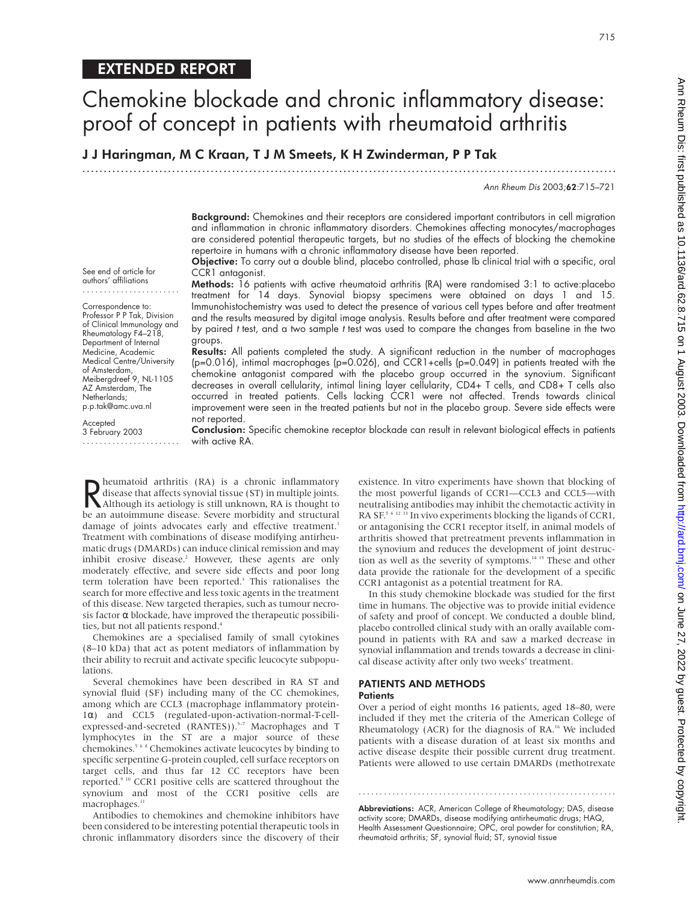J J Haringman, M C Kraan, T J M Smeets, K H Zwinderman, P P Tak

.............................................................................................................................

Ann Rheum Dis 2003;62:715–721

Background: Chemokines and their receptors are considered important contributors in cell migration and inflammation in chronic inflammatory disorders. Chemokines affecting monocytes/macrophages are considered potential therapeutic targets, but no studies of the effects of blocking the chemokine repertoire in humans with a chronic inflammatory disease have been reported.

Objective: To carry out a double blind, placebo controlled, phase Ib clinical trial with a specific, oral CCR1 antagonist.

See end of article for authors' affiliations .......................

Correspondence to: Professor P P Tak, Division of Clinical Immunology and Rheumatology F4–218, Department of Internal Medicine, Academic Medical Centre/University of Amsterdam, Meibergdreef 9, NL-1105 AZ Amsterdam, The Netherlands; p.p.tak@amc.uva.nl

Accepted 3 February 2003 ....................... Methods: 16 patients with active rheumatoid arthritis (RA) were randomised 3:1 to active:placebo treatment for 14 days. Synovial biopsy specimens were obtained on days 1 and 15. Immunohistochemistry was used to detect the presence of various cell types before and after treatment and the results measured by digital image analysis. Results before and after treatment were compared by paired <sup>t</sup> test, and a two sample <sup>t</sup> test was used to compare the changes from baseline in the two groups.

Results: All patients completed the study. A significant reduction in the number of macrophages (p=0.016), intimal macrophages (p=0.026), and CCR1+cells (p=0.049) in patients treated with the chemokine antagonist compared with the placebo group occurred in the synovium. Significant decreases in overall cellularity, intimal lining layer cellularity, CD4+ T cells, and CD8+ T cells also occurred in treated patients. Cells lacking CCR1 were not affected. Trends towards clinical improvement were seen in the treated patients but not in the placebo group. Severe side effects were not reported.

Conclusion: Specific chemokine receptor blockade can result in relevant biological effects in patients with active RA.

**R** heumatoid arthritis (RA) is a chronic inflammatory<br>disease that affects synovial tissue (ST) in multiple joints.<br>Although its aetiology is still unknown, RA is thought to<br>be an autoimmune disease. Severe morbidity and disease that affects synovial tissue (ST) in multiple joints. Although its aetiology is still unknown, RA is thought to be an autoimmune disease. Severe morbidity and structural damage of joints advocates early and effective treatment.<sup>1</sup> Treatment with combinations of disease modifying antirheumatic drugs (DMARDs) can induce clinical remission and may inhibit erosive disease.<sup>2</sup> However, these agents are only moderately effective, and severe side effects and poor long term toleration have been reported.<sup>3</sup> This rationalises the search for more effective and less toxic agents in the treatment of this disease. New targeted therapies, such as tumour necrosis factor  $\alpha$  blockade, have improved the therapeutic possibilities, but not all patients respond.<sup>4</sup>

Chemokines are a specialised family of small cytokines (8–10 kDa) that act as potent mediators of inflammation by their ability to recruit and activate specific leucocyte subpopulations.

Several chemokines have been described in RA ST and synovial fluid (SF) including many of the CC chemokines, among which are CCL3 (macrophage inflammatory protein-1α) and CCL5 (regulated-upon-activation-normal-T-cellexpressed-and-secreted (RANTES)).<sup>5-7</sup> Macrophages and T lymphocytes in the ST are a major source of these chemokines.568 Chemokines activate leucocytes by binding to specific serpentine G-protein coupled, cell surface receptors on target cells, and thus far 12 CC receptors have been reported.<sup>9 10</sup> CCR1 positive cells are scattered throughout the synovium and most of the CCR1 positive cells are macrophages.<sup>11</sup>

Antibodies to chemokines and chemokine inhibitors have been considered to be interesting potential therapeutic tools in chronic inflammatory disorders since the discovery of their

existence. In vitro experiments have shown that blocking of the most powerful ligands of CCR1—CCL3 and CCL5—with neutralising antibodies may inhibit the chemotactic activity in RA SF.<sup>5 6 12</sup> <sup>13</sup> In vivo experiments blocking the ligands of CCR1, or antagonising the CCR1 receptor itself, in animal models of arthritis showed that pretreatment prevents inflammation in the synovium and reduces the development of joint destruction as well as the severity of symptoms.14 15 These and other data provide the rationale for the development of a specific CCR1 antagonist as a potential treatment for RA.

In this study chemokine blockade was studied for the first time in humans. The objective was to provide initial evidence of safety and proof of concept. We conducted a double blind, placebo controlled clinical study with an orally available compound in patients with RA and saw a marked decrease in synovial inflammation and trends towards a decrease in clinical disease activity after only two weeks' treatment.

#### PATIENTS AND METHODS **Patients**

Over a period of eight months 16 patients, aged 18–80, were included if they met the criteria of the American College of Rheumatology (ACR) for the diagnosis of RA.<sup>16</sup> We included patients with a disease duration of at least six months and active disease despite their possible current drug treatment. Patients were allowed to use certain DMARDs (methotrexate

Abbreviations: ACR, American College of Rheumatology; DAS, disease activity score; DMARDs, disease modifying antirheumatic drugs; HAQ, Health Assessment Questionnaire; OPC, oral powder for constitution; RA, rheumatoid arthritis; SF, synovial fluid; ST, synovial tissue

.............................................................

715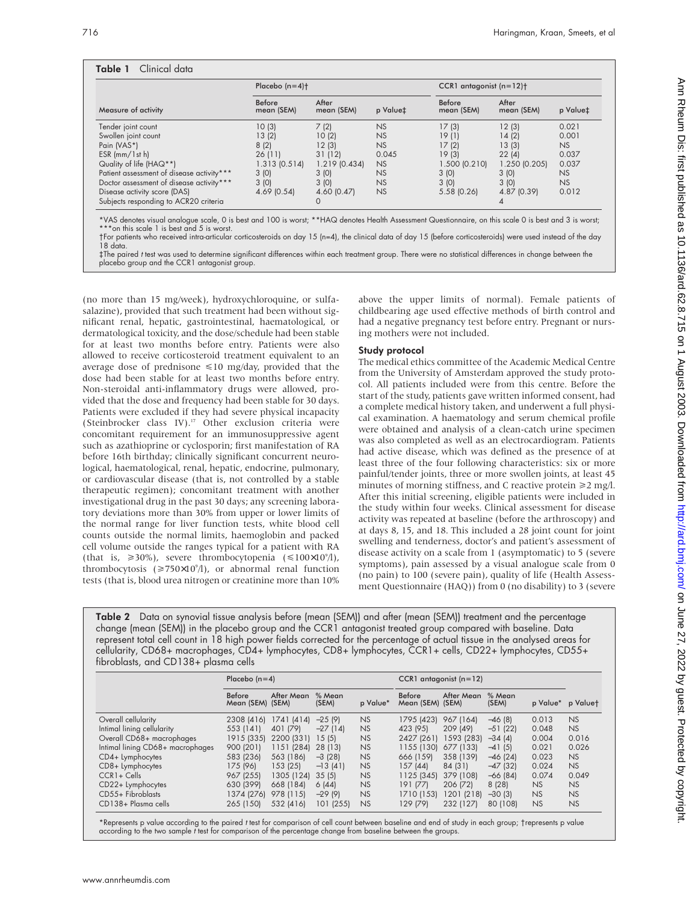|                                           | Placebo $(n=4)$ <sup>+</sup> |                     |           | CCR1 antagonist $(n=12)$ + |                     |          |  |
|-------------------------------------------|------------------------------|---------------------|-----------|----------------------------|---------------------|----------|--|
| Measure of activity                       | <b>Before</b><br>mean (SEM)  | After<br>mean (SEM) | p Value‡  | Before<br>mean (SEM)       | After<br>mean (SEM) | p Value‡ |  |
| Tender joint count                        | 10(3)                        | 7(2)                | <b>NS</b> | 17(3)                      | 12(3)               | 0.021    |  |
| Swollen joint count                       | 13(2)                        | 10(2)               | <b>NS</b> | 19(1)                      | 14(2)               | 0.001    |  |
| Pain (VAS*)                               | 8(2)                         | 12(3)               | <b>NS</b> | 17(2)                      | 13(3)               | NS       |  |
| $ESR$ (mm/ $1st$ h)                       | 26(11)                       | 31 (12)             | 0.045     | 19(3)                      | 22(4)               | 0.037    |  |
| Quality of life (HAQ**)                   | 1.313(0.514)                 | 1.219(0.434)        | NS        | 1.500(0.210)               | 1.250(0.205)        | 0.037    |  |
| Patient assessment of disease activity*** | 3(0)                         | 3(0)                | <b>NS</b> | 3(0)                       | 3(0)                | NS       |  |
| Doctor assessment of disease activity***  | 3(0)                         | 3(0)                | <b>NS</b> | 3(0)                       | 3(0)                | NS       |  |
| Disease activity score (DAS)              | 4.69(0.54)                   | 4.60(0.47)          | <b>NS</b> | 5.58(0.26)                 | 4.87 (0.39)         | 0.012    |  |
| Subjects responding to ACR20 criteria     |                              | O                   |           |                            |                     |          |  |

who received intra-articular corticosteroids on day 15 (n=4), the clinical data of day 15 (before corticosteroids) were used instead of the day 18 data. ‡The paired <sup>t</sup> test was used to determine significant differences within each treatment group. There were no statistical differences in change between the

placebo group and the CCR1 antagonist group.

(no more than 15 mg/week), hydroxychloroquine, or sulfasalazine), provided that such treatment had been without significant renal, hepatic, gastrointestinal, haematological, or dermatological toxicity, and the dose/schedule had been stable for at least two months before entry. Patients were also allowed to receive corticosteroid treatment equivalent to an average dose of prednisone  $\leq 10$  mg/day, provided that the dose had been stable for at least two months before entry. Non-steroidal anti-inflammatory drugs were allowed, provided that the dose and frequency had been stable for 30 days. Patients were excluded if they had severe physical incapacity (Steinbrocker class IV).<sup>17</sup> Other exclusion criteria were concomitant requirement for an immunosuppressive agent such as azathioprine or cyclosporin; first manifestation of RA before 16th birthday; clinically significant concurrent neurological, haematological, renal, hepatic, endocrine, pulmonary, or cardiovascular disease (that is, not controlled by a stable therapeutic regimen); concomitant treatment with another investigational drug in the past 30 days; any screening laboratory deviations more than 30% from upper or lower limits of the normal range for liver function tests, white blood cell counts outside the normal limits, haemoglobin and packed cell volume outside the ranges typical for a patient with RA (that is,  $\geq 30\%$ ), severe thrombocytopenia ( $\leq 100 \times 10^{9}/1$ ), thrombocytosis  $(\geq 750 \times 10^9)$ , or abnormal renal function tests (that is, blood urea nitrogen or creatinine more than 10% above the upper limits of normal). Female patients of childbearing age used effective methods of birth control and had a negative pregnancy test before entry. Pregnant or nursing mothers were not included.

## Study protocol

The medical ethics committee of the Academic Medical Centre from the University of Amsterdam approved the study protocol. All patients included were from this centre. Before the start of the study, patients gave written informed consent, had a complete medical history taken, and underwent a full physical examination. A haematology and serum chemical profile were obtained and analysis of a clean-catch urine specimen was also completed as well as an electrocardiogram. Patients had active disease, which was defined as the presence of at least three of the four following characteristics: six or more painful/tender joints, three or more swollen joints, at least 45 minutes of morning stiffness, and C reactive protein  $\geq 2$  mg/l. After this initial screening, eligible patients were included in the study within four weeks. Clinical assessment for disease activity was repeated at baseline (before the arthroscopy) and at days 8, 15, and 18. This included a 28 joint count for joint swelling and tenderness, doctor's and patient's assessment of disease activity on a scale from 1 (asymptomatic) to 5 (severe symptoms), pain assessed by a visual analogue scale from 0 (no pain) to 100 (severe pain), quality of life (Health Assessment Questionnaire (HAQ)) from 0 (no disability) to 3 (severe

Table 2 Data on synovial tissue analysis before (mean (SEM)) and after (mean (SEM)) treatment and the percentage change (mean (SEM)) in the placebo group and the CCR1 antagonist treated group compared with baseline. Data represent total cell count in 18 high power fields corrected for the percentage of actual tissue in the analysed areas for cellularity, CD68+ macrophages, CD4+ lymphocytes, CD8+ lymphocytes, CCR1+ cells, CD22+ lymphocytes, CD55+ fibroblasts, and CD138+ plasma cells

|                                  | Placebo $(n=4)$                   |                    |                 |           | CCR1 antagonist $(n=12)$          |            |                 |           |           |
|----------------------------------|-----------------------------------|--------------------|-----------------|-----------|-----------------------------------|------------|-----------------|-----------|-----------|
|                                  | <b>Before</b><br>Mean (SEM) (SEM) | After Mean         | % Mean<br>(SEM) | p Value*  | <b>Before</b><br>Mean (SEM) (SEM) | After Mean | % Mean<br>(SEM) | p Value*  | p Valuet  |
| Overall cellularity              | 2308 (416)                        | 1741 (414) -25 (9) |                 | <b>NS</b> | 1795 (423)                        | 967 (164)  | $-46(8)$        | 0.013     | <b>NS</b> |
| Intimal lining cellularity       | 553 (141)                         | 401 (79)           | $-27(14)$       | <b>NS</b> | 423 (95)                          | 209 (49)   | $-51(22)$       | 0.048     | <b>NS</b> |
| Overall CD68+ macrophages        | 1915 (335)                        | 2200 (331)         | 15(5)           | <b>NS</b> | 2427 (261)                        | 1593 (283) | $-34(4)$        | 0.004     | 0.016     |
| Intimal lining CD68+ macrophages | 900 (201)                         | 1151 (284)         | 28 (13)         | <b>NS</b> | 1155 (130)                        | 677 (133)  | $-41(5)$        | 0.021     | 0.026     |
| CD4+ Lymphocytes                 | 583 (236)                         | 563 (186)          | $-3(28)$        | <b>NS</b> | 666 (159)                         | 358 (139)  | $-46(24)$       | 0.023     | <b>NS</b> |
| CD8+ Lymphocytes                 | 175 (96)                          | 153(25)            | $-13(41)$       | <b>NS</b> | 157 (44)                          | 84 (31)    | $-47(32)$       | 0.024     | <b>NS</b> |
| $CCR1 + Cells$                   | 967 (255)                         | 1305 (124)         | 35(5)           | <b>NS</b> | 1125 (345) 379 (108)              |            | $-66(84)$       | 0.074     | 0.049     |
| CD22+ Lymphocytes                | 630 (399)                         | 668 (184)          | 6(44)           | <b>NS</b> | 191 (77)                          | 206 (72)   | 8(28)           | NS        | NS        |
| CD55+ Fibroblasts                | 1374 (276)                        | 978 (115)          | $-29(9)$        | <b>NS</b> | 1710 (153)                        | 1201 (218) | $-30(3)$        | <b>NS</b> | <b>NS</b> |
| CD138+ Plasma cells              | 265 (150)                         | 532 (416)          | 101 (255)       | <b>NS</b> | 129 (79)                          | 232 (127)  | 80 (108)        | <b>NS</b> | NS        |

\*Represents p value according to the paired <sup>t</sup> test for comparison of cell count between baseline and end of study in each group; †represents p value according to the two sample <sup>t</sup> test for comparison of the percentage change from baseline between the groups.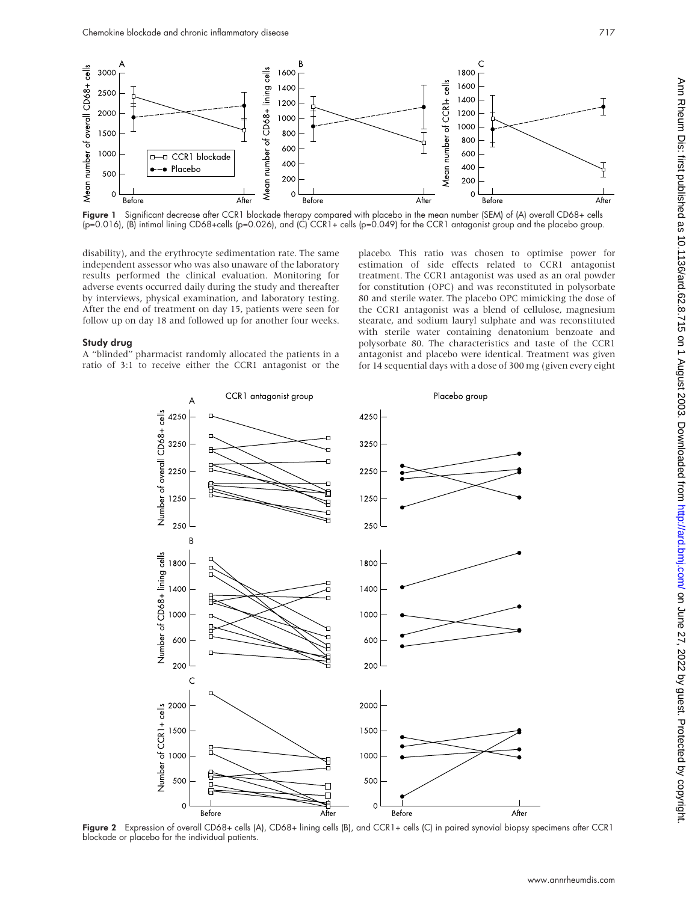

Figure 1 Significant decrease after CCR1 blockade therapy compared with placebo in the mean number (SEM) of (A) overall CD68+ cells (p=0.016), (B) intimal lining CD68+cells (p=0.026), and (C) CCR1+ cells (p=0.049) for the CCR1 antagonist group and the placebo group.

disability), and the erythrocyte sedimentation rate. The same independent assessor who was also unaware of the laboratory results performed the clinical evaluation. Monitoring for adverse events occurred daily during the study and thereafter by interviews, physical examination, and laboratory testing. After the end of treatment on day 15, patients were seen for follow up on day 18 and followed up for another four weeks.

#### Study drug

A "blinded" pharmacist randomly allocated the patients in a ratio of 3:1 to receive either the CCR1 antagonist or the placebo. This ratio was chosen to optimise power for estimation of side effects related to CCR1 antagonist treatment. The CCR1 antagonist was used as an oral powder for constitution (OPC) and was reconstituted in polysorbate 80 and sterile water. The placebo OPC mimicking the dose of the CCR1 antagonist was a blend of cellulose, magnesium stearate, and sodium lauryl sulphate and was reconstituted with sterile water containing denatonium benzoate and polysorbate 80. The characteristics and taste of the CCR1 antagonist and placebo were identical. Treatment was given for 14 sequential days with a dose of 300 mg (given every eight



Figure 2 Expression of overall CD68+ cells (A), CD68+ lining cells (B), and CCR1+ cells (C) in paired synovial biopsy specimens after CCR1 blockade or placebo for the individual patients.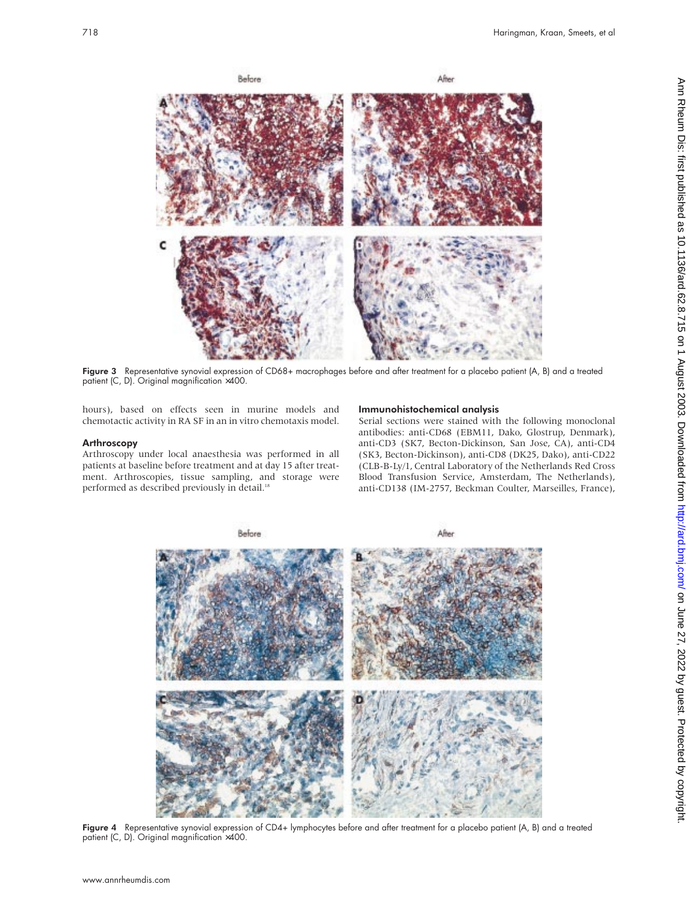

Figure 3 Representative synovial expression of CD68+ macrophages before and after treatment for a placebo patient (A, B) and a treated patient (C, D). Original magnification ×400.

hours), based on effects seen in murine models and chemotactic activity in RA SF in an in vitro chemotaxis model.

# Arthroscopy

Arthroscopy under local anaesthesia was performed in all patients at baseline before treatment and at day 15 after treatment. Arthroscopies, tissue sampling, and storage were performed as described previously in detail.<sup>18</sup>

## Immunohistochemical analysis

Serial sections were stained with the following monoclonal antibodies: anti-CD68 (EBM11, Dako, Glostrup, Denmark), anti-CD3 (SK7, Becton-Dickinson, San Jose, CA), anti-CD4 (SK3, Becton-Dickinson), anti-CD8 (DK25, Dako), anti-CD22 (CLB-B-Ly/1, Central Laboratory of the Netherlands Red Cross Blood Transfusion Service, Amsterdam, The Netherlands), anti-CD138 (IM-2757, Beckman Coulter, Marseilles, France),



Figure 4 Representative synovial expression of CD4+ lymphocytes before and after treatment for a placebo patient (A, B) and a treated patient (C, D). Original magnification ×400.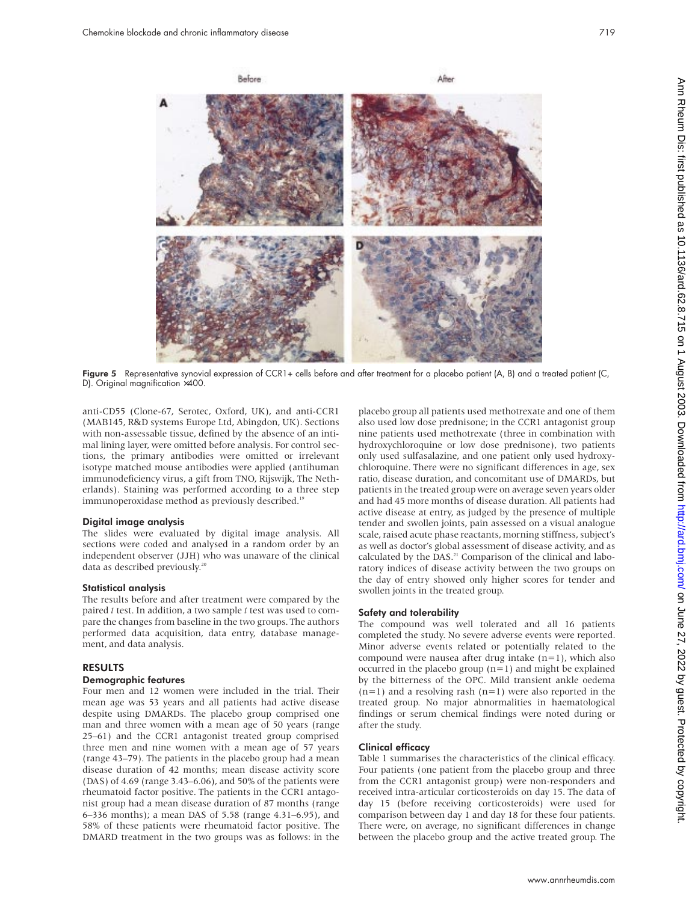

Figure 5 Representative synovial expression of CCR1+ cells before and after treatment for a placebo patient (A, B) and a treated patient (C, D). Original magnification ×400.

anti-CD55 (Clone-67, Serotec, Oxford, UK), and anti-CCR1 (MAB145, R&D systems Europe Ltd, Abingdon, UK). Sections with non-assessable tissue, defined by the absence of an intimal lining layer, were omitted before analysis. For control sections, the primary antibodies were omitted or irrelevant isotype matched mouse antibodies were applied (antihuman immunodeficiency virus, a gift from TNO, Rijswijk, The Netherlands). Staining was performed according to a three step immunoperoxidase method as previously described.<sup>19</sup>

#### Digital image analysis

The slides were evaluated by digital image analysis. All sections were coded and analysed in a random order by an independent observer (JJH) who was unaware of the clinical data as described previously.<sup>20</sup>

### Statistical analysis

The results before and after treatment were compared by the paired *t* test. In addition, a two sample *t* test was used to compare the changes from baseline in the two groups. The authors performed data acquisition, data entry, database management, and data analysis.

## RESULTS

## Demographic features

Four men and 12 women were included in the trial. Their mean age was 53 years and all patients had active disease despite using DMARDs. The placebo group comprised one man and three women with a mean age of 50 years (range 25–61) and the CCR1 antagonist treated group comprised three men and nine women with a mean age of 57 years (range 43–79). The patients in the placebo group had a mean disease duration of 42 months; mean disease activity score (DAS) of 4.69 (range 3.43–6.06), and 50% of the patients were rheumatoid factor positive. The patients in the CCR1 antagonist group had a mean disease duration of 87 months (range 6–336 months); a mean DAS of 5.58 (range 4.31–6.95), and 58% of these patients were rheumatoid factor positive. The DMARD treatment in the two groups was as follows: in the placebo group all patients used methotrexate and one of them also used low dose prednisone; in the CCR1 antagonist group nine patients used methotrexate (three in combination with hydroxychloroquine or low dose prednisone), two patients only used sulfasalazine, and one patient only used hydroxychloroquine. There were no significant differences in age, sex ratio, disease duration, and concomitant use of DMARDs, but patients in the treated group were on average seven years older and had 45 more months of disease duration. All patients had active disease at entry, as judged by the presence of multiple tender and swollen joints, pain assessed on a visual analogue scale, raised acute phase reactants, morning stiffness, subject's as well as doctor's global assessment of disease activity, and as calculated by the DAS.<sup>21</sup> Comparison of the clinical and laboratory indices of disease activity between the two groups on the day of entry showed only higher scores for tender and swollen joints in the treated group.

## Safety and tolerability

The compound was well tolerated and all 16 patients completed the study. No severe adverse events were reported. Minor adverse events related or potentially related to the compound were nausea after drug intake  $(n=1)$ , which also occurred in the placebo group (n=1) and might be explained by the bitterness of the OPC. Mild transient ankle oedema  $(n=1)$  and a resolving rash  $(n=1)$  were also reported in the treated group. No major abnormalities in haematological findings or serum chemical findings were noted during or after the study.

## Clinical efficacy

Table 1 summarises the characteristics of the clinical efficacy. Four patients (one patient from the placebo group and three from the CCR1 antagonist group) were non-responders and received intra-articular corticosteroids on day 15. The data of day 15 (before receiving corticosteroids) were used for comparison between day 1 and day 18 for these four patients. There were, on average, no significant differences in change between the placebo group and the active treated group. The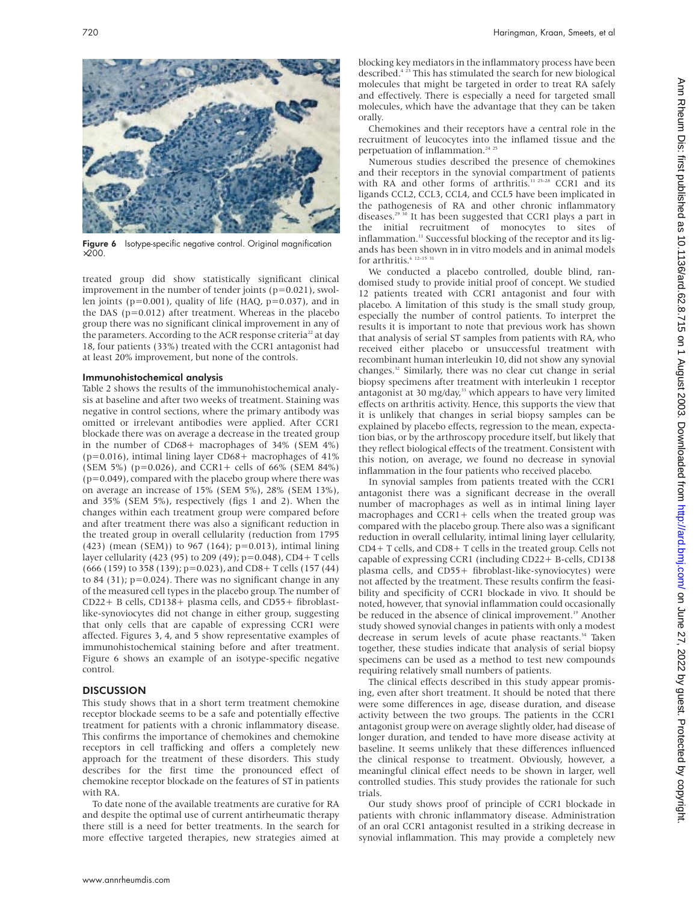Figure 6 Isotype-specific negative control. Original magnification ×200.

treated group did show statistically significant clinical improvement in the number of tender joints (p=0.021), swollen joints (p=0.001), quality of life (HAQ, p=0.037), and in the DAS (p=0.012) after treatment. Whereas in the placebo group there was no significant clinical improvement in any of the parameters. According to the ACR response criteria<sup>22</sup> at day 18, four patients (33%) treated with the CCR1 antagonist had at least 20% improvement, but none of the controls.

# Immunohistochemical analysis

Table 2 shows the results of the immunohistochemical analysis at baseline and after two weeks of treatment. Staining was negative in control sections, where the primary antibody was omitted or irrelevant antibodies were applied. After CCR1 blockade there was on average a decrease in the treated group in the number of CD68+ macrophages of 34% (SEM 4%) (p=0.016), intimal lining layer CD68+ macrophages of 41% (SEM 5%) (p=0.026), and CCR1+ cells of 66% (SEM 84%)  $(p=0.049)$ , compared with the placebo group where there was on average an increase of 15% (SEM 5%), 28% (SEM 13%), and 35% (SEM 5%), respectively (figs 1 and 2). When the changes within each treatment group were compared before and after treatment there was also a significant reduction in the treated group in overall cellularity (reduction from 1795 (423) (mean (SEM)) to 967 (164); p=0.013), intimal lining layer cellularity (423 (95) to 209 (49); p=0.048), CD4+ T cells (666 (159) to 358 (139); p=0.023), and CD8+ T cells (157 (44) to 84 (31);  $p=0.024$ ). There was no significant change in any of the measured cell types in the placebo group. The number of CD22+ B cells, CD138+ plasma cells, and CD55+ fibroblastlike-synoviocytes did not change in either group, suggesting that only cells that are capable of expressing CCR1 were affected. Figures 3, 4, and 5 show representative examples of immunohistochemical staining before and after treatment. Figure 6 shows an example of an isotype-specific negative control.

# **DISCUSSION**

This study shows that in a short term treatment chemokine receptor blockade seems to be a safe and potentially effective treatment for patients with a chronic inflammatory disease. This confirms the importance of chemokines and chemokine receptors in cell trafficking and offers a completely new approach for the treatment of these disorders. This study describes for the first time the pronounced effect of chemokine receptor blockade on the features of ST in patients with RA.

To date none of the available treatments are curative for RA and despite the optimal use of current antirheumatic therapy there still is a need for better treatments. In the search for more effective targeted therapies, new strategies aimed at

blocking key mediators in the inflammatory process have been described.<sup>423</sup> This has stimulated the search for new biological molecules that might be targeted in order to treat RA safely and effectively. There is especially a need for targeted small molecules, which have the advantage that they can be taken orally.

Chemokines and their receptors have a central role in the recruitment of leucocytes into the inflamed tissue and the perpetuation of inflammation.<sup>24</sup><sup>25</sup>

Numerous studies described the presence of chemokines and their receptors in the synovial compartment of patients with RA and other forms of arthritis.<sup>11 25-28</sup> CCR1 and its ligands CCL2, CCL3, CCL4, and CCL5 have been implicated in the pathogenesis of RA and other chronic inflammatory diseases.<sup>29 30</sup> It has been suggested that CCR1 plays a part in the initial recruitment of monocytes to sites of inflammation.<sup>11</sup> Successful blocking of the receptor and its ligands has been shown in in vitro models and in animal models for arthritis. $6$  12–15 3

We conducted a placebo controlled, double blind, randomised study to provide initial proof of concept. We studied 12 patients treated with CCR1 antagonist and four with placebo. A limitation of this study is the small study group, especially the number of control patients. To interpret the results it is important to note that previous work has shown that analysis of serial ST samples from patients with RA, who received either placebo or unsuccessful treatment with recombinant human interleukin 10, did not show any synovial changes.<sup>32</sup> Similarly, there was no clear cut change in serial biopsy specimens after treatment with interleukin 1 receptor antagonist at 30 mg/day,<sup>33</sup> which appears to have very limited effects on arthritis activity. Hence, this supports the view that it is unlikely that changes in serial biopsy samples can be explained by placebo effects, regression to the mean, expectation bias, or by the arthroscopy procedure itself, but likely that they reflect biological effects of the treatment. Consistent with this notion, on average, we found no decrease in synovial inflammation in the four patients who received placebo.

In synovial samples from patients treated with the CCR1 antagonist there was a significant decrease in the overall number of macrophages as well as in intimal lining layer macrophages and  $CCR1+$  cells when the treated group was compared with the placebo group. There also was a significant reduction in overall cellularity, intimal lining layer cellularity, CD4+ T cells, and CD8+ T cells in the treated group. Cells not capable of expressing CCR1 (including CD22+ B-cells, CD138 plasma cells, and CD55+ fibroblast-like-synoviocytes) were not affected by the treatment. These results confirm the feasibility and specificity of CCR1 blockade in vivo. It should be noted, however, that synovial inflammation could occasionally be reduced in the absence of clinical improvement.<sup>19</sup> Another study showed synovial changes in patients with only a modest decrease in serum levels of acute phase reactants.<sup>34</sup> Taken together, these studies indicate that analysis of serial biopsy specimens can be used as a method to test new compounds requiring relatively small numbers of patients.

The clinical effects described in this study appear promising, even after short treatment. It should be noted that there were some differences in age, disease duration, and disease activity between the two groups. The patients in the CCR1 antagonist group were on average slightly older, had disease of longer duration, and tended to have more disease activity at baseline. It seems unlikely that these differences influenced the clinical response to treatment. Obviously, however, a meaningful clinical effect needs to be shown in larger, well controlled studies. This study provides the rationale for such trials.

Our study shows proof of principle of CCR1 blockade in patients with chronic inflammatory disease. Administration of an oral CCR1 antagonist resulted in a striking decrease in synovial inflammation. This may provide a completely new